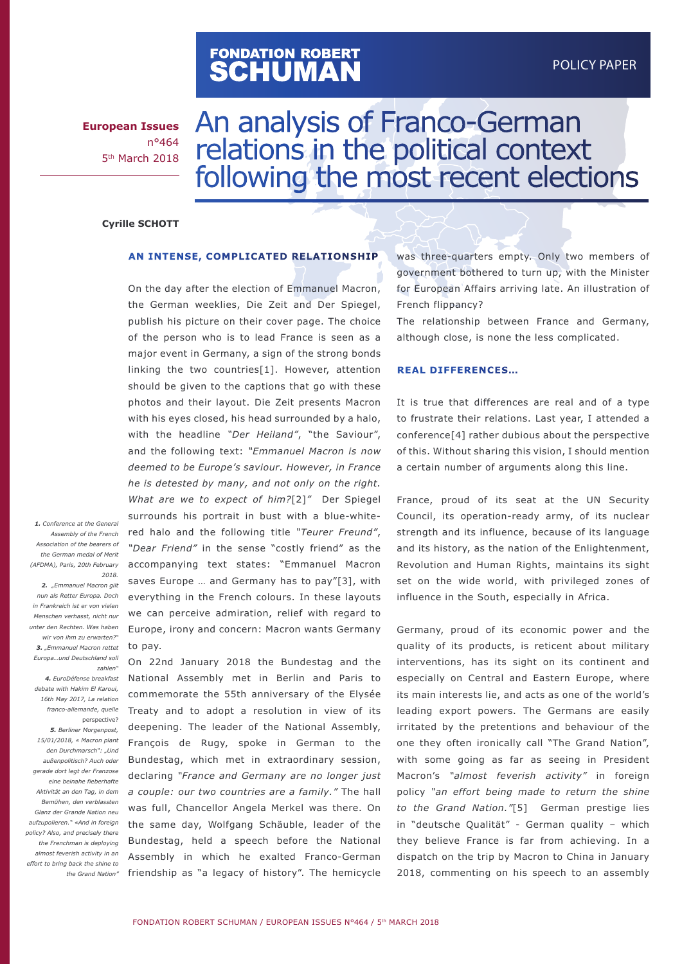# FONDATION ROBERT<br>**SCHUMAN**

**European Issues** n°464 5th March 2018

# An analysis of Franco-German relations in the political context following the most recent elections

#### **Cyrille SCHOTT**

#### **AN INTENSE, COMPLICATED RELATIONSHIP**

On the day after the election of Emmanuel Macron, the German weeklies, Die Zeit and Der Spiegel, publish his picture on their cover page. The choice of the person who is to lead France is seen as a major event in Germany, a sign of the strong bonds linking the two countries[1]. However, attention should be given to the captions that go with these photos and their layout. Die Zeit presents Macron with his eyes closed, his head surrounded by a halo, with the headline *"Der Heiland"*, "the Saviour", and the following text: *"Emmanuel Macron is now deemed to be Europe's saviour. However, in France he is detested by many, and not only on the right. What are we to expect of him?*[2]*"* Der Spiegel surrounds his portrait in bust with a blue-whitered halo and the following title *"Teurer Freund"*, *"Dear Friend"* in the sense "costly friend" as the accompanying text states: "Emmanuel Macron saves Europe … and Germany has to pay"[3], with everything in the French colours. In these layouts we can perceive admiration, relief with regard to Europe, irony and concern: Macron wants Germany to pay.

On 22nd January 2018 the Bundestag and the National Assembly met in Berlin and Paris to commemorate the 55th anniversary of the Elysée Treaty and to adopt a resolution in view of its deepening. The leader of the National Assembly, François de Rugy, spoke in German to the Bundestag, which met in extraordinary session, declaring *"France and Germany are no longer just a couple: our two countries are a family."* The hall *Aktivität an den Tag, in dem*  was full, Chancellor Angela Merkel was there. On the same day, Wolfgang Schäuble, leader of the Bundestag, held a speech before the National Assembly in which he exalted Franco-German friendship as "a legacy of history". The hemicycle

was three-quarters empty. Only two members of government bothered to turn up, with the Minister for European Affairs arriving late. An illustration of French flippancy?

The relationship between France and Germany, although close, is none the less complicated.

#### **REAL DIFFERENCES…**

It is true that differences are real and of a type to frustrate their relations. Last year, I attended a conference[4] rather dubious about the perspective of this. Without sharing this vision, I should mention a certain number of arguments along this line.

France, proud of its seat at the UN Security Council, its operation-ready army, of its nuclear strength and its influence, because of its language and its history, as the nation of the Enlightenment, Revolution and Human Rights, maintains its sight set on the wide world, with privileged zones of influence in the South, especially in Africa.

Germany, proud of its economic power and the quality of its products, is reticent about military interventions, has its sight on its continent and especially on Central and Eastern Europe, where its main interests lie, and acts as one of the world's leading export powers. The Germans are easily irritated by the pretentions and behaviour of the one they often ironically call "The Grand Nation", with some going as far as seeing in President Macron's *"almost feverish activity"* in foreign policy *"an effort being made to return the shine to the Grand Nation."*[5] German prestige lies in "deutsche Qualität" - German quality – which they believe France is far from achieving. In a dispatch on the trip by Macron to China in January 2018, commenting on his speech to an assembly

**1.** Conference at the General *Assembly of the French Association of the bearers of the German medal of Merit (AFDMA), Paris, 20th February 2018.*

 *2. "Emmanuel Macron gilt nun als Retter Europa. Doch in Frankreich ist er von vielen Menschen verhasst, nicht nur unter den Rechten. Was haben wir von ihm zu erwarten?" 3. "Emmanuel Macron rettet Europa…und Deutschland soll zahlen"*

*4. EuroDéfense breakfast debate with Hakim El Karoui, 16th May 2017, La relation franco-allemande, quelle*  perspective? *5. Berliner Morgenpost, 15/01/2018, « Macron plant den Durchmarsch": "Und außenpolitisch? Auch oder gerade dort legt der Franzose eine beinahe fieberhafte Bemühen, den verblassten Glanz der Grande Nation neu aufzupolieren." «And in foreign policy? Also, and precisely there the Frenchman is deploying almost feverish activity in an effort to bring back the shine to the Grand Nation"*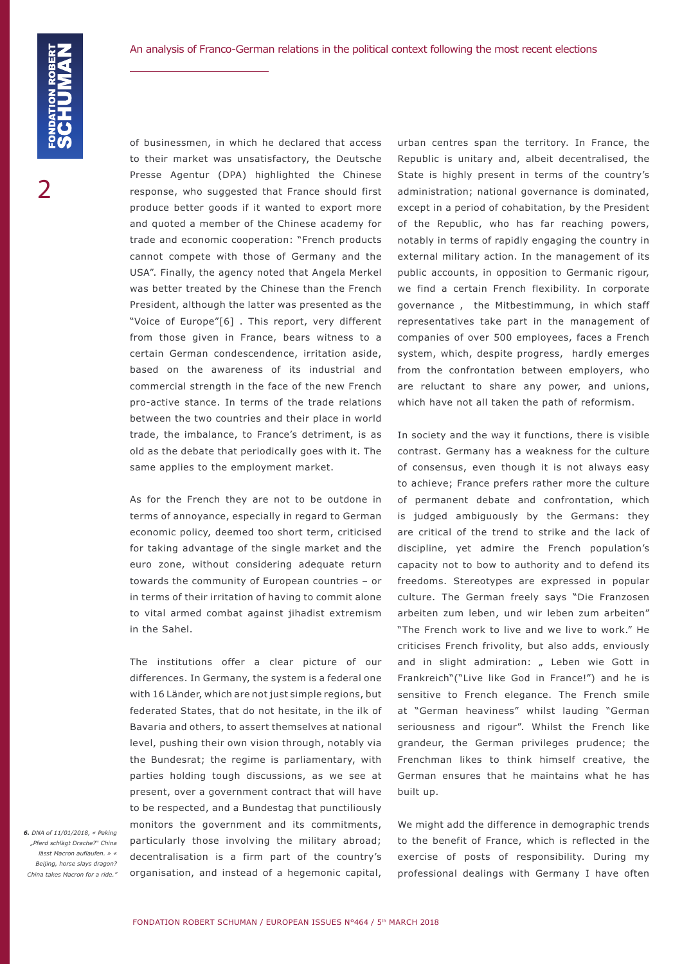of businessmen, in which he declared that access to their market was unsatisfactory, the Deutsche Presse Agentur (DPA) highlighted the Chinese response, who suggested that France should first produce better goods if it wanted to export more and quoted a member of the Chinese academy for trade and economic cooperation: "French products cannot compete with those of Germany and the USA". Finally, the agency noted that Angela Merkel was better treated by the Chinese than the French President, although the latter was presented as the "Voice of Europe"[6] . This report, very different from those given in France, bears witness to a certain German condescendence, irritation aside, based on the awareness of its industrial and commercial strength in the face of the new French pro-active stance. In terms of the trade relations between the two countries and their place in world trade, the imbalance, to France's detriment, is as old as the debate that periodically goes with it. The same applies to the employment market.

As for the French they are not to be outdone in terms of annoyance, especially in regard to German economic policy, deemed too short term, criticised for taking advantage of the single market and the euro zone, without considering adequate return towards the community of European countries – or in terms of their irritation of having to commit alone to vital armed combat against jihadist extremism in the Sahel.

The institutions offer a clear picture of our differences. In Germany, the system is a federal one with 16 Länder, which are not just simple regions, but federated States, that do not hesitate, in the ilk of Bavaria and others, to assert themselves at national level, pushing their own vision through, notably via the Bundesrat; the regime is parliamentary, with parties holding tough discussions, as we see at present, over a government contract that will have to be respected, and a Bundestag that punctiliously monitors the government and its commitments, particularly those involving the military abroad; decentralisation is a firm part of the country's organisation, and instead of a hegemonic capital,

urban centres span the territory. In France, the Republic is unitary and, albeit decentralised, the State is highly present in terms of the country's administration; national governance is dominated, except in a period of cohabitation, by the President of the Republic, who has far reaching powers, notably in terms of rapidly engaging the country in external military action. In the management of its public accounts, in opposition to Germanic rigour, we find a certain French flexibility. In corporate governance , the Mitbestimmung, in which staff representatives take part in the management of companies of over 500 employees, faces a French system, which, despite progress, hardly emerges from the confrontation between employers, who are reluctant to share any power, and unions, which have not all taken the path of reformism.

In society and the way it functions, there is visible contrast. Germany has a weakness for the culture of consensus, even though it is not always easy to achieve; France prefers rather more the culture of permanent debate and confrontation, which is judged ambiguously by the Germans: they are critical of the trend to strike and the lack of discipline, yet admire the French population's capacity not to bow to authority and to defend its freedoms. Stereotypes are expressed in popular culture. The German freely says "Die Franzosen arbeiten zum leben, und wir leben zum arbeiten" "The French work to live and we live to work." He criticises French frivolity, but also adds, enviously and in slight admiration: " Leben wie Gott in Frankreich"("Live like God in France!") and he is sensitive to French elegance. The French smile at "German heaviness" whilst lauding "German seriousness and rigour". Whilst the French like grandeur, the German privileges prudence; the Frenchman likes to think himself creative, the German ensures that he maintains what he has built up.

We might add the difference in demographic trends to the benefit of France, which is reflected in the exercise of posts of responsibility. During my professional dealings with Germany I have often

*6. DNA of 11/01/2018, « Peking "Pferd schlägt Drache?" China lässt Macron auflaufen. » « Beijing, horse slays dragon? China takes Macron for a ride."*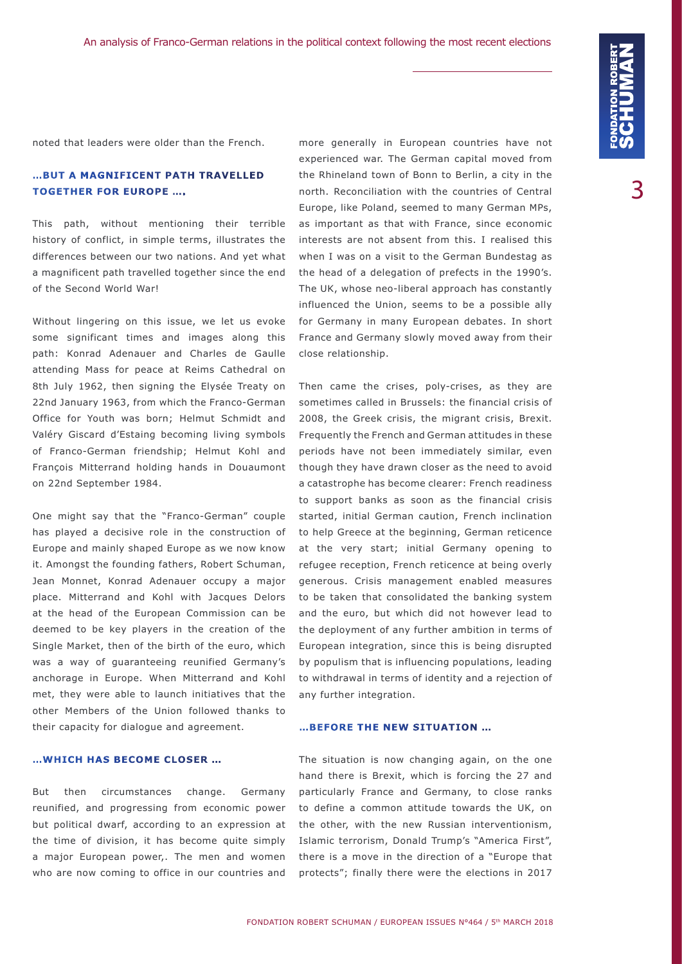noted that leaders were older than the French.

### **…BUT A MAGNIFICENT PATH TRAVELLED TOGETHER FOR EUROPE ….**

This path, without mentioning their terrible history of conflict, in simple terms, illustrates the differences between our two nations. And yet what a magnificent path travelled together since the end of the Second World War!

Without lingering on this issue, we let us evoke some significant times and images along this path: Konrad Adenauer and Charles de Gaulle attending Mass for peace at Reims Cathedral on 8th July 1962, then signing the Elysée Treaty on 22nd January 1963, from which the Franco-German Office for Youth was born; Helmut Schmidt and Valéry Giscard d'Estaing becoming living symbols of Franco-German friendship; Helmut Kohl and François Mitterrand holding hands in Douaumont on 22nd September 1984.

One might say that the "Franco-German" couple has played a decisive role in the construction of Europe and mainly shaped Europe as we now know it. Amongst the founding fathers, Robert Schuman, Jean Monnet, Konrad Adenauer occupy a major place. Mitterrand and Kohl with Jacques Delors at the head of the European Commission can be deemed to be key players in the creation of the Single Market, then of the birth of the euro, which was a way of guaranteeing reunified Germany's anchorage in Europe. When Mitterrand and Kohl met, they were able to launch initiatives that the other Members of the Union followed thanks to their capacity for dialogue and agreement.

#### **…WHICH HAS BECOME CLOSER …**

But then circumstances change. Germany reunified, and progressing from economic power but political dwarf, according to an expression at the time of division, it has become quite simply a major European power,. The men and women who are now coming to office in our countries and more generally in European countries have not experienced war. The German capital moved from the Rhineland town of Bonn to Berlin, a city in the north. Reconciliation with the countries of Central Europe, like Poland, seemed to many German MPs, as important as that with France, since economic interests are not absent from this. I realised this when I was on a visit to the German Bundestag as the head of a delegation of prefects in the 1990's. The UK, whose neo-liberal approach has constantly influenced the Union, seems to be a possible ally for Germany in many European debates. In short France and Germany slowly moved away from their close relationship.

Then came the crises, poly-crises, as they are sometimes called in Brussels: the financial crisis of 2008, the Greek crisis, the migrant crisis, Brexit. Frequently the French and German attitudes in these periods have not been immediately similar, even though they have drawn closer as the need to avoid a catastrophe has become clearer: French readiness to support banks as soon as the financial crisis started, initial German caution, French inclination to help Greece at the beginning, German reticence at the very start; initial Germany opening to refugee reception, French reticence at being overly generous. Crisis management enabled measures to be taken that consolidated the banking system and the euro, but which did not however lead to the deployment of any further ambition in terms of European integration, since this is being disrupted by populism that is influencing populations, leading to withdrawal in terms of identity and a rejection of any further integration.

#### **…BEFORE THE NEW SITUATION …**

The situation is now changing again, on the one hand there is Brexit, which is forcing the 27 and particularly France and Germany, to close ranks to define a common attitude towards the UK, on the other, with the new Russian interventionism, Islamic terrorism, Donald Trump's "America First", there is a move in the direction of a "Europe that protects"; finally there were the elections in 2017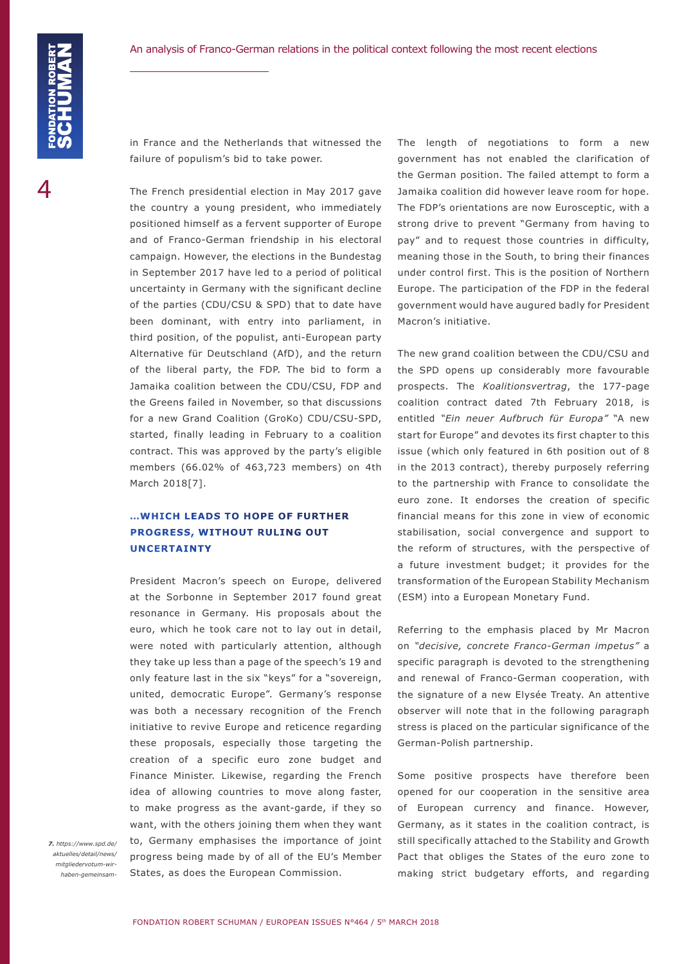in France and the Netherlands that witnessed the failure of populism's bid to take power.

The French presidential election in May 2017 gave the country a young president, who immediately positioned himself as a fervent supporter of Europe and of Franco-German friendship in his electoral campaign. However, the elections in the Bundestag in September 2017 have led to a period of political uncertainty in Germany with the significant decline of the parties (CDU/CSU & SPD) that to date have been dominant, with entry into parliament, in third position, of the populist, anti-European party Alternative für Deutschland (AfD), and the return of the liberal party, the FDP. The bid to form a Jamaika coalition between the CDU/CSU, FDP and the Greens failed in November, so that discussions for a new Grand Coalition (GroKo) CDU/CSU-SPD, started, finally leading in February to a coalition contract. This was approved by the party's eligible members (66.02% of 463,723 members) on 4th March 2018[7].

# **…WHICH LEADS TO HOPE OF FURTHER PROGRESS, WITHOUT RULING OUT UNCERTAINTY**

President Macron's speech on Europe, delivered at the Sorbonne in September 2017 found great resonance in Germany. His proposals about the euro, which he took care not to lay out in detail, were noted with particularly attention, although they take up less than a page of the speech's 19 and only feature last in the six "keys" for a "sovereign, united, democratic Europe". Germany's response was both a necessary recognition of the French initiative to revive Europe and reticence regarding these proposals, especially those targeting the creation of a specific euro zone budget and Finance Minister. Likewise, regarding the French idea of allowing countries to move along faster, to make progress as the avant-garde, if they so want, with the others joining them when they want to, Germany emphasises the importance of joint progress being made by of all of the EU's Member States, as does the European Commission.

*7. https://www.spd.de/ aktuelles/detail/news/ mitgliedervotum-wirhaben-gemeinsam-* The length of negotiations to form a new government has not enabled the clarification of the German position. The failed attempt to form a Jamaika coalition did however leave room for hope. The FDP's orientations are now Eurosceptic, with a strong drive to prevent "Germany from having to pay" and to request those countries in difficulty, meaning those in the South, to bring their finances under control first. This is the position of Northern Europe. The participation of the FDP in the federal government would have augured badly for President Macron's initiative.

The new grand coalition between the CDU/CSU and the SPD opens up considerably more favourable prospects. The *Koalitionsvertrag*, the 177-page coalition contract dated 7th February 2018, is entitled *"Ein neuer Aufbruch für Europa"* "A new start for Europe" and devotes its first chapter to this issue (which only featured in 6th position out of 8 in the 2013 contract), thereby purposely referring to the partnership with France to consolidate the euro zone. It endorses the creation of specific financial means for this zone in view of economic stabilisation, social convergence and support to the reform of structures, with the perspective of a future investment budget; it provides for the transformation of the European Stability Mechanism (ESM) into a European Monetary Fund.

Referring to the emphasis placed by Mr Macron on *"decisive, concrete Franco-German impetus"* a specific paragraph is devoted to the strengthening and renewal of Franco-German cooperation, with the signature of a new Elysée Treaty. An attentive observer will note that in the following paragraph stress is placed on the particular significance of the German-Polish partnership.

Some positive prospects have therefore been opened for our cooperation in the sensitive area of European currency and finance. However, Germany, as it states in the coalition contract, is still specifically attached to the Stability and Growth Pact that obliges the States of the euro zone to making strict budgetary efforts, and regarding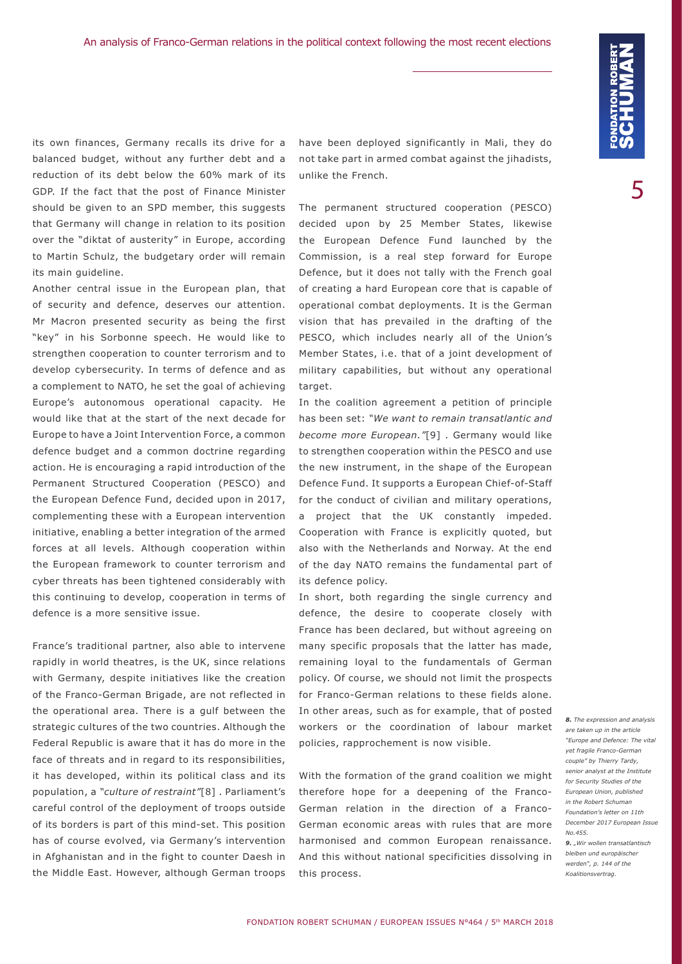its own finances, Germany recalls its drive for a balanced budget, without any further debt and a reduction of its debt below the 60% mark of its GDP. If the fact that the post of Finance Minister should be given to an SPD member, this suggests that Germany will change in relation to its position over the "diktat of austerity" in Europe, according to Martin Schulz, the budgetary order will remain its main guideline.

Another central issue in the European plan, that of security and defence, deserves our attention. Mr Macron presented security as being the first "key" in his Sorbonne speech. He would like to strengthen cooperation to counter terrorism and to develop cybersecurity. In terms of defence and as a complement to NATO, he set the goal of achieving Europe's autonomous operational capacity. He would like that at the start of the next decade for Europe to have a Joint Intervention Force, a common defence budget and a common doctrine regarding action. He is encouraging a rapid introduction of the Permanent Structured Cooperation (PESCO) and the European Defence Fund, decided upon in 2017, complementing these with a European intervention initiative, enabling a better integration of the armed forces at all levels. Although cooperation within the European framework to counter terrorism and cyber threats has been tightened considerably with this continuing to develop, cooperation in terms of defence is a more sensitive issue.

France's traditional partner, also able to intervene rapidly in world theatres, is the UK, since relations with Germany, despite initiatives like the creation of the Franco-German Brigade, are not reflected in the operational area. There is a gulf between the strategic cultures of the two countries. Although the Federal Republic is aware that it has do more in the face of threats and in regard to its responsibilities, it has developed, within its political class and its population, a *"culture of restraint"*[8] . Parliament's careful control of the deployment of troops outside of its borders is part of this mind-set. This position has of course evolved, via Germany's intervention in Afghanistan and in the fight to counter Daesh in the Middle East. However, although German troops

have been deployed significantly in Mali, they do not take part in armed combat against the jihadists, unlike the French.

The permanent structured cooperation (PESCO) decided upon by 25 Member States, likewise the European Defence Fund launched by the Commission, is a real step forward for Europe Defence, but it does not tally with the French goal of creating a hard European core that is capable of operational combat deployments. It is the German vision that has prevailed in the drafting of the PESCO, which includes nearly all of the Union's Member States, i.e. that of a joint development of military capabilities, but without any operational target

In the coalition agreement a petition of principle has been set: *"We want to remain transatlantic and become more European."*[9] . Germany would like to strengthen cooperation within the PESCO and use the new instrument, in the shape of the European Defence Fund. It supports a European Chief-of-Staff for the conduct of civilian and military operations, a project that the UK constantly impeded. Cooperation with France is explicitly quoted, but also with the Netherlands and Norway. At the end of the day NATO remains the fundamental part of its defence policy.

In short, both regarding the single currency and defence, the desire to cooperate closely with France has been declared, but without agreeing on many specific proposals that the latter has made, remaining loyal to the fundamentals of German policy. Of course, we should not limit the prospects for Franco-German relations to these fields alone. In other areas, such as for example, that of posted workers or the coordination of labour market policies, rapprochement is now visible.

With the formation of the grand coalition we might therefore hope for a deepening of the Franco-German relation in the direction of a Franco-German economic areas with rules that are more harmonised and common European renaissance. And this without national specificities dissolving in this process.

*8. The expression and analysis are taken up in the article "Europe and Defence: The vital yet fragile Franco-German couple" by Thierry Tardy, senior analyst at the Institute for Security Studies of the European Union, published in the Robert Schuman Foundation's letter on 11th December 2017 European Issue No.455.* **9.** *"Wir wollen transatlantisch bleiben und europäischer werden", p. 144 of the Koalitionsvertrag.*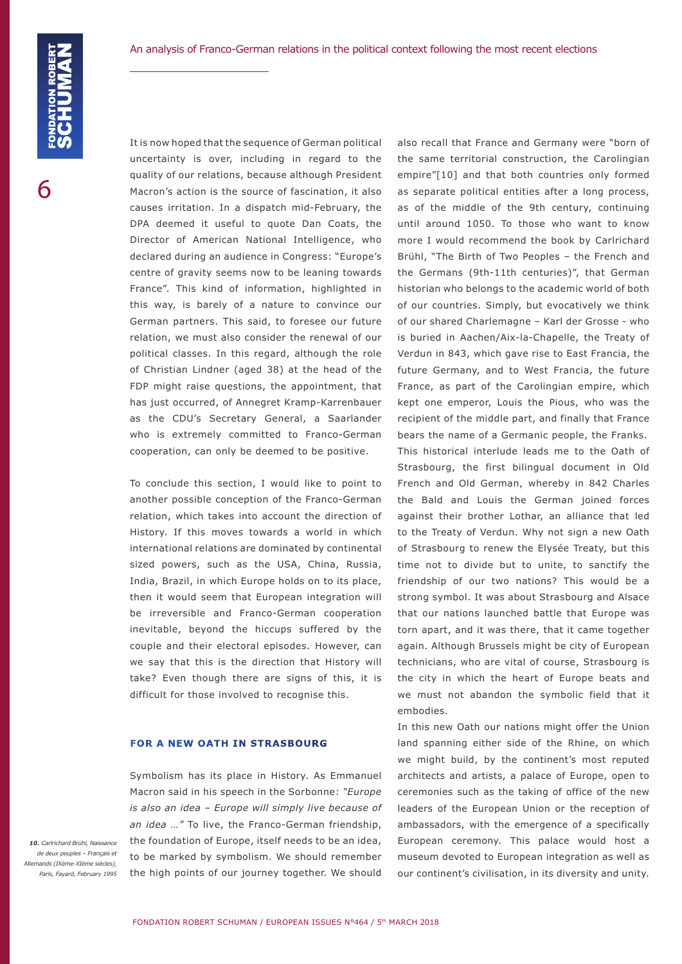It is now hoped that the sequence of German political uncertainty is over, including in regard to the quality of our relations, because although President Macron's action is the source of fascination, it also causes irritation. In a dispatch mid-February, the DPA deemed it useful to quote Dan Coats, the Director of American National Intelligence, who declared during an audience in Congress: "Europe's centre of gravity seems now to be leaning towards France". This kind of information, highlighted in this way, is barely of a nature to convince our German partners. This said, to foresee our future relation, we must also consider the renewal of our political classes. In this regard, although the role of Christian Lindner (aged 38) at the head of the FDP might raise questions, the appointment, that has just occurred, of Annegret Kramp-Karrenbauer as the CDU's Secretary General, a Saarlander who is extremely committed to Franco-German cooperation, can only be deemed to be positive.

To conclude this section, I would like to point to another possible conception of the Franco-German relation, which takes into account the direction of History. If this moves towards a world in which international relations are dominated by continental sized powers, such as the USA, China, Russia, India, Brazil, in which Europe holds on to its place, then it would seem that European integration will be irreversible and Franco-German cooperation inevitable, beyond the hiccups suffered by the couple and their electoral episodes. However, can we say that this is the direction that History will take? Even though there are signs of this, it is difficult for those involved to recognise this.

#### **FOR A NEW OATH IN STRASBOURG**

Symbolism has its place in History. As Emmanuel Macron said in his speech in the Sorbonne: *"Europe is also an idea – Europe will simply live because of an idea …"* To live, the Franco-German friendship, the foundation of Europe, itself needs to be an idea, to be marked by symbolism. We should remember the high points of our journey together. We should

also recall that France and Germany were "born of the same territorial construction, the Carolingian empire"[10] and that both countries only formed as separate political entities after a long process, as of the middle of the 9th century, continuing until around 1050. To those who want to know more I would recommend the book by Carlrichard Brühl, "The Birth of Two Peoples – the French and the Germans (9th-11th centuries)", that German historian who belongs to the academic world of both of our countries. Simply, but evocatively we think of our shared Charlemagne – Karl der Grosse - who is buried in Aachen/Aix-la-Chapelle, the Treaty of Verdun in 843, which gave rise to East Francia, the future Germany, and to West Francia, the future France, as part of the Carolingian empire, which kept one emperor, Louis the Pious, who was the recipient of the middle part, and finally that France bears the name of a Germanic people, the Franks. This historical interlude leads me to the Oath of Strasbourg, the first bilingual document in Old French and Old German, whereby in 842 Charles the Bald and Louis the German joined forces against their brother Lothar, an alliance that led to the Treaty of Verdun. Why not sign a new Oath of Strasbourg to renew the Elysée Treaty, but this time not to divide but to unite, to sanctify the friendship of our two nations? This would be a strong symbol. It was about Strasbourg and Alsace that our nations launched battle that Europe was torn apart, and it was there, that it came together again. Although Brussels might be city of European technicians, who are vital of course, Strasbourg is the city in which the heart of Europe beats and we must not abandon the symbolic field that it embodies.

In this new Oath our nations might offer the Union land spanning either side of the Rhine, on which we might build, by the continent's most reputed architects and artists, a palace of Europe, open to ceremonies such as the taking of office of the new leaders of the European Union or the reception of ambassadors, with the emergence of a specifically European ceremony. This palace would host a museum devoted to European integration as well as our continent's civilisation, in its diversity and unity.

*10. Carlrichard Brühl, Naissance de deux peuples – Français et Allemands (IXème-XIème siècles), Paris, Fayard, February 1995*